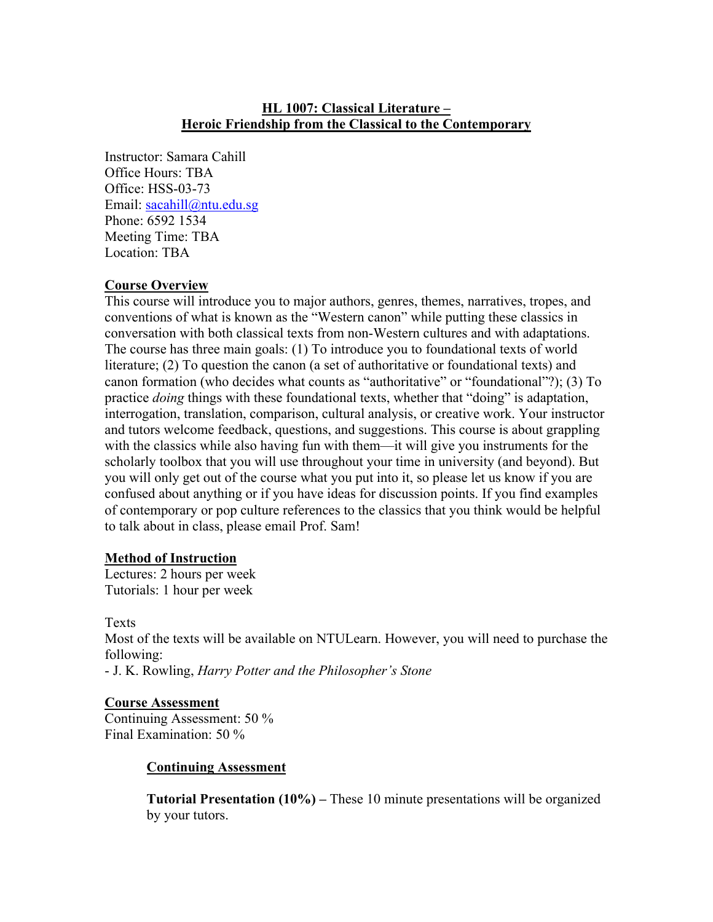## **HL 1007: Classical Literature – Heroic Friendship from the Classical to the Contemporary**

Instructor: Samara Cahill Office Hours: TBA Office: HSS-03-73 Email: [sacahill@ntu.edu.sg](mailto:sacahill@ntu.edu.sg) Phone: 6592 1534 Meeting Time: TBA Location: TBA

# **Course Overview**

This course will introduce you to major authors, genres, themes, narratives, tropes, and conventions of what is known as the "Western canon" while putting these classics in conversation with both classical texts from non-Western cultures and with adaptations. The course has three main goals: (1) To introduce you to foundational texts of world literature; (2) To question the canon (a set of authoritative or foundational texts) and canon formation (who decides what counts as "authoritative" or "foundational"?); (3) To practice *doing* things with these foundational texts, whether that "doing" is adaptation, interrogation, translation, comparison, cultural analysis, or creative work. Your instructor and tutors welcome feedback, questions, and suggestions. This course is about grappling with the classics while also having fun with them—it will give you instruments for the scholarly toolbox that you will use throughout your time in university (and beyond). But you will only get out of the course what you put into it, so please let us know if you are confused about anything or if you have ideas for discussion points. If you find examples of contemporary or pop culture references to the classics that you think would be helpful to talk about in class, please email Prof. Sam!

## **Method of Instruction**

Lectures: 2 hours per week Tutorials: 1 hour per week

#### Texts

Most of the texts will be available on NTULearn. However, you will need to purchase the following:

- J. K. Rowling, *Harry Potter and the Philosopher's Stone*

#### **Course Assessment**

Continuing Assessment: 50 % Final Examination: 50 %

#### **Continuing Assessment**

**Tutorial Presentation (10%) –** These 10 minute presentations will be organized by your tutors.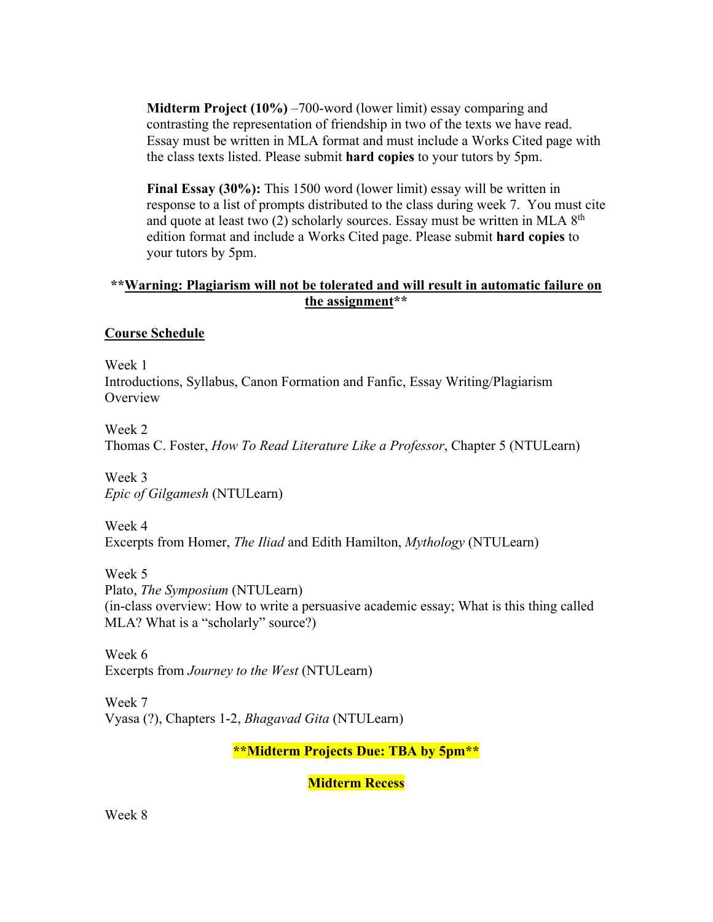**Midterm Project (10%)** –700-word (lower limit) essay comparing and contrasting the representation of friendship in two of the texts we have read. Essay must be written in MLA format and must include a Works Cited page with the class texts listed. Please submit **hard copies** to your tutors by 5pm.

**Final Essay (30%):** This 1500 word (lower limit) essay will be written in response to a list of prompts distributed to the class during week 7. You must cite and quote at least two  $(2)$  scholarly sources. Essay must be written in MLA  $8<sup>th</sup>$ edition format and include a Works Cited page. Please submit **hard copies** to your tutors by 5pm.

## **\*\*Warning: Plagiarism will not be tolerated and will result in automatic failure on the assignment\*\***

## **Course Schedule**

Week 1 Introductions, Syllabus, Canon Formation and Fanfic, Essay Writing/Plagiarism **Overview** 

Week 2

Thomas C. Foster, *How To Read Literature Like a Professor*, Chapter 5 (NTULearn)

Week 3 *Epic of Gilgamesh* (NTULearn)

Week 4 Excerpts from Homer, *The Iliad* and Edith Hamilton, *Mythology* (NTULearn)

Week 5 Plato, *The Symposium* (NTULearn) (in-class overview: How to write a persuasive academic essay; What is this thing called MLA? What is a "scholarly" source?)

Week 6 Excerpts from *Journey to the West* (NTULearn)

Week 7 Vyasa (?), Chapters 1-2, *Bhagavad Gita* (NTULearn)

**\*\*Midterm Projects Due: TBA by 5pm\*\***

**Midterm Recess**

Week 8